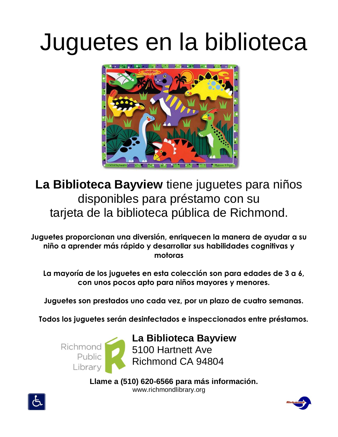## Juguetes en la biblioteca



**La Biblioteca Bayview** tiene juguetes para niños disponibles para préstamo con su tarjeta de la biblioteca pública de Richmond.

**Juguetes proporcionan una diversión, enriquecen la manera de ayudar a su niño a aprender más rápido y desarrollar sus habilidades cognitivas y motoras**

**La mayoría de los juguetes en esta colección son para edades de 3 a 6, con unos pocos apto para niños mayores y menores.**

**Juguetes son prestados uno cada vez, por un plazo de cuatro semanas.**

**Todos los juguetes serán desinfectados e inspeccionados entre préstamos.**



**Llame a (510) 620-6566 para más información.** www.richmondlibrary.org